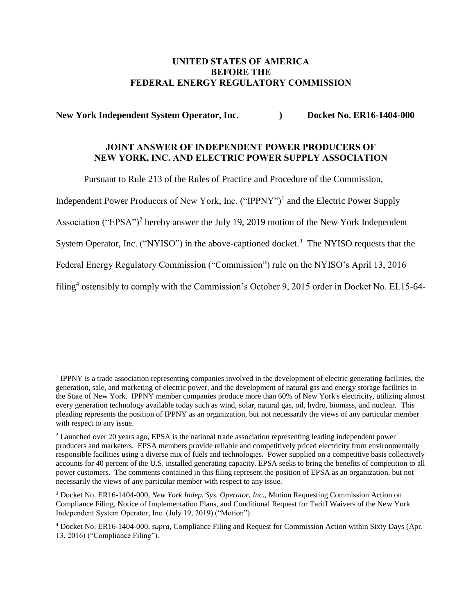### **UNITED STATES OF AMERICA BEFORE THE FEDERAL ENERGY REGULATORY COMMISSION**

**New York Independent System Operator, Inc. (a) Docket No. ER16-1404-000** 

## **JOINT ANSWER OF INDEPENDENT POWER PRODUCERS OF NEW YORK, INC. AND ELECTRIC POWER SUPPLY ASSOCIATION**

Pursuant to Rule 213 of the Rules of Practice and Procedure of the Commission,

Independent Power Producers of New York, Inc. ("IPPNY")<sup>1</sup> and the Electric Power Supply

Association ("EPSA")<sup>2</sup> hereby answer the July 19, 2019 motion of the New York Independent

System Operator, Inc. ("NYISO") in the above-captioned docket.<sup>3</sup> The NYISO requests that the

Federal Energy Regulatory Commission ("Commission") rule on the NYISO's April 13, 2016

filing<sup>4</sup> ostensibly to comply with the Commission's October 9, 2015 order in Docket No. EL15-64-

<sup>&</sup>lt;sup>1</sup> IPPNY is a trade association representing companies involved in the development of electric generating facilities, the generation, sale, and marketing of electric power, and the development of natural gas and energy storage facilities in the State of New York. IPPNY member companies produce more than 60% of New York's electricity, utilizing almost every generation technology available today such as wind, solar, natural gas, oil, hydro, biomass, and nuclear. This pleading represents the position of IPPNY as an organization, but not necessarily the views of any particular member with respect to any issue.

<sup>&</sup>lt;sup>2</sup> Launched over 20 years ago, EPSA is the national trade association representing leading independent power producers and marketers. EPSA members provide reliable and competitively priced electricity from environmentally responsible facilities using a diverse mix of fuels and technologies. Power supplied on a competitive basis collectively accounts for 40 percent of the U.S. installed generating capacity. EPSA seeks to bring the benefits of competition to all power customers. The comments contained in this filing represent the position of EPSA as an organization, but not necessarily the views of any particular member with respect to any issue.

<sup>3</sup> Docket No. ER16-1404-000, *New York Indep. Sys. Operator, Inc*., Motion Requesting Commission Action on Compliance Filing, Notice of Implementation Plans, and Conditional Request for Tariff Waivers of the New York Independent System Operator, Inc. (July 19, 2019) ("Motion").

<sup>4</sup> Docket No. ER16-1404-000, *supra*, Compliance Filing and Request for Commission Action within Sixty Days (Apr. 13, 2016) ("Compliance Filing").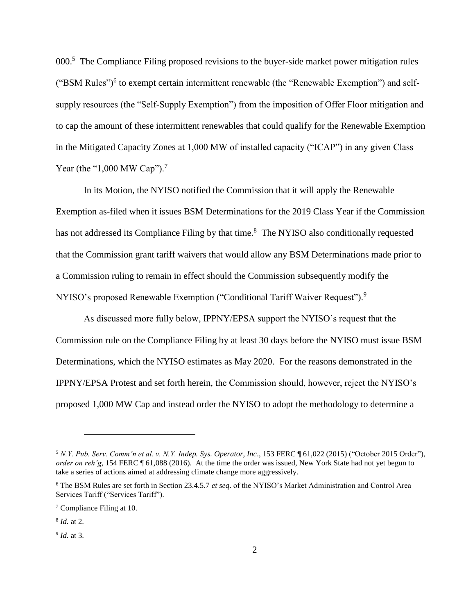000.<sup>5</sup> The Compliance Filing proposed revisions to the buyer-side market power mitigation rules ("BSM Rules")<sup>6</sup> to exempt certain intermittent renewable (the "Renewable Exemption") and selfsupply resources (the "Self-Supply Exemption") from the imposition of Offer Floor mitigation and to cap the amount of these intermittent renewables that could qualify for the Renewable Exemption in the Mitigated Capacity Zones at 1,000 MW of installed capacity ("ICAP") in any given Class Year (the "1,000 MW Cap").<sup>7</sup>

In its Motion, the NYISO notified the Commission that it will apply the Renewable Exemption as-filed when it issues BSM Determinations for the 2019 Class Year if the Commission has not addressed its Compliance Filing by that time.<sup>8</sup> The NYISO also conditionally requested that the Commission grant tariff waivers that would allow any BSM Determinations made prior to a Commission ruling to remain in effect should the Commission subsequently modify the NYISO's proposed Renewable Exemption ("Conditional Tariff Waiver Request").<sup>9</sup>

As discussed more fully below, IPPNY/EPSA support the NYISO's request that the Commission rule on the Compliance Filing by at least 30 days before the NYISO must issue BSM Determinations, which the NYISO estimates as May 2020. For the reasons demonstrated in the IPPNY/EPSA Protest and set forth herein, the Commission should, however, reject the NYISO's proposed 1,000 MW Cap and instead order the NYISO to adopt the methodology to determine a

<sup>5</sup> *N.Y. Pub. Serv. Comm'n et al. v. N.Y. Indep. Sys. Operator, Inc*., 153 FERC ¶ 61,022 (2015) ("October 2015 Order"), *order on reh'g*, 154 FERC ¶ 61,088 (2016). At the time the order was issued, New York State had not yet begun to take a series of actions aimed at addressing climate change more aggressively.

<sup>6</sup> The BSM Rules are set forth in Section 23.4.5.7 *et seq*. of the NYISO's Market Administration and Control Area Services Tariff ("Services Tariff").

<sup>7</sup> Compliance Filing at 10.

<sup>8</sup> *Id.* at 2.

<sup>9</sup> *Id.* at 3.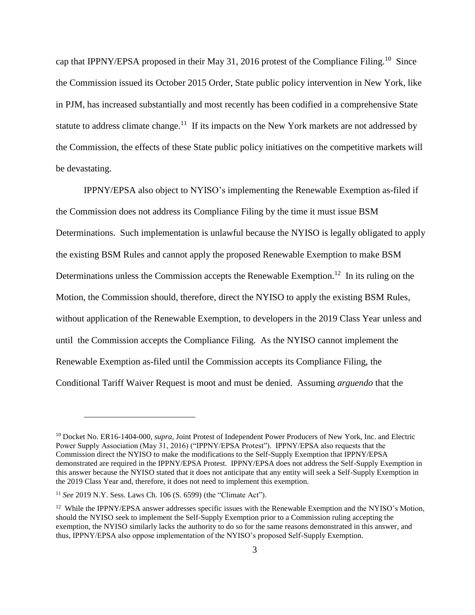cap that IPPNY/EPSA proposed in their May 31, 2016 protest of the Compliance Filing.<sup>10</sup> Since the Commission issued its October 2015 Order, State public policy intervention in New York, like in PJM, has increased substantially and most recently has been codified in a comprehensive State statute to address climate change.<sup>11</sup> If its impacts on the New York markets are not addressed by the Commission, the effects of these State public policy initiatives on the competitive markets will be devastating.

IPPNY/EPSA also object to NYISO's implementing the Renewable Exemption as-filed if the Commission does not address its Compliance Filing by the time it must issue BSM Determinations. Such implementation is unlawful because the NYISO is legally obligated to apply the existing BSM Rules and cannot apply the proposed Renewable Exemption to make BSM Determinations unless the Commission accepts the Renewable Exemption.<sup>12</sup> In its ruling on the Motion, the Commission should, therefore, direct the NYISO to apply the existing BSM Rules, without application of the Renewable Exemption, to developers in the 2019 Class Year unless and until the Commission accepts the Compliance Filing. As the NYISO cannot implement the Renewable Exemption as-filed until the Commission accepts its Compliance Filing, the Conditional Tariff Waiver Request is moot and must be denied. Assuming *arguendo* that the

<sup>10</sup> Docket No. ER16-1404-000, *supra*, Joint Protest of Independent Power Producers of New York, Inc. and Electric Power Supply Association (May 31, 2016) ("IPPNY/EPSA Protest"). IPPNY/EPSA also requests that the Commission direct the NYISO to make the modifications to the Self-Supply Exemption that IPPNY/EPSA demonstrated are required in the IPPNY/EPSA Protest. IPPNY/EPSA does not address the Self-Supply Exemption in this answer because the NYISO stated that it does not anticipate that any entity will seek a Self-Supply Exemption in the 2019 Class Year and, therefore, it does not need to implement this exemption.

<sup>11</sup> *See* 2019 N.Y. Sess. Laws Ch. 106 (S. 6599) (the "Climate Act").

<sup>&</sup>lt;sup>12</sup> While the IPPNY/EPSA answer addresses specific issues with the Renewable Exemption and the NYISO's Motion, should the NYISO seek to implement the Self-Supply Exemption prior to a Commission ruling accepting the exemption, the NYISO similarly lacks the authority to do so for the same reasons demonstrated in this answer, and thus, IPPNY/EPSA also oppose implementation of the NYISO's proposed Self-Supply Exemption.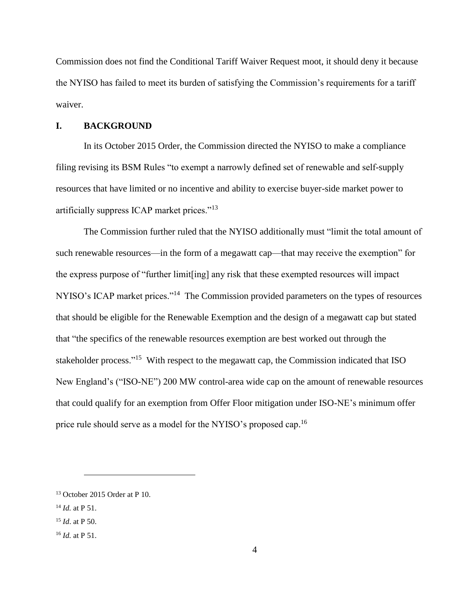Commission does not find the Conditional Tariff Waiver Request moot, it should deny it because the NYISO has failed to meet its burden of satisfying the Commission's requirements for a tariff waiver.

### **I. BACKGROUND**

In its October 2015 Order, the Commission directed the NYISO to make a compliance filing revising its BSM Rules "to exempt a narrowly defined set of renewable and self-supply resources that have limited or no incentive and ability to exercise buyer-side market power to artificially suppress ICAP market prices."<sup>13</sup>

The Commission further ruled that the NYISO additionally must "limit the total amount of such renewable resources—in the form of a megawatt cap—that may receive the exemption" for the express purpose of "further limit[ing] any risk that these exempted resources will impact NYISO's ICAP market prices."<sup>14</sup> The Commission provided parameters on the types of resources that should be eligible for the Renewable Exemption and the design of a megawatt cap but stated that "the specifics of the renewable resources exemption are best worked out through the stakeholder process."<sup>15</sup> With respect to the megawatt cap, the Commission indicated that ISO New England's ("ISO-NE") 200 MW control-area wide cap on the amount of renewable resources that could qualify for an exemption from Offer Floor mitigation under ISO-NE's minimum offer price rule should serve as a model for the NYISO's proposed cap.<sup>16</sup>

<sup>13</sup> October 2015 Order at P 10.

<sup>14</sup> *Id.* at P 51.

<sup>15</sup> *Id*. at P 50.

<sup>16</sup> *Id.* at P 51.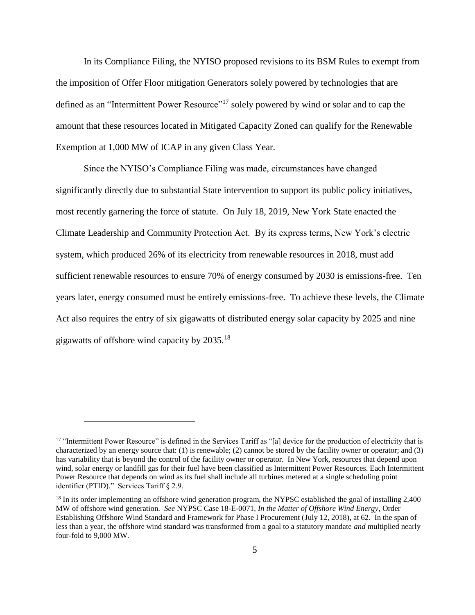In its Compliance Filing, the NYISO proposed revisions to its BSM Rules to exempt from the imposition of Offer Floor mitigation Generators solely powered by technologies that are defined as an "Intermittent Power Resource"<sup>17</sup> solely powered by wind or solar and to cap the amount that these resources located in Mitigated Capacity Zoned can qualify for the Renewable Exemption at 1,000 MW of ICAP in any given Class Year.

Since the NYISO's Compliance Filing was made, circumstances have changed significantly directly due to substantial State intervention to support its public policy initiatives, most recently garnering the force of statute. On July 18, 2019, New York State enacted the Climate Leadership and Community Protection Act. By its express terms, New York's electric system, which produced 26% of its electricity from renewable resources in 2018, must add sufficient renewable resources to ensure 70% of energy consumed by 2030 is emissions-free. Ten years later, energy consumed must be entirely emissions-free. To achieve these levels, the Climate Act also requires the entry of six gigawatts of distributed energy solar capacity by 2025 and nine gigawatts of offshore wind capacity by  $2035.^{18}$ 

<sup>&</sup>lt;sup>17</sup> "Intermittent Power Resource" is defined in the Services Tariff as "[a] device for the production of electricity that is characterized by an energy source that: (1) is renewable; (2) cannot be stored by the facility owner or operator; and (3) has variability that is beyond the control of the facility owner or operator. In New York, resources that depend upon wind, solar energy or landfill gas for their fuel have been classified as Intermittent Power Resources. Each Intermittent Power Resource that depends on wind as its fuel shall include all turbines metered at a single scheduling point identifier (PTID)." Services Tariff § 2.9.

<sup>&</sup>lt;sup>18</sup> In its order implementing an offshore wind generation program, the NYPSC established the goal of installing 2,400 MW of offshore wind generation. *See* NYPSC Case 18-E-0071, *In the Matter of Offshore Wind Energy*, Order Establishing Offshore Wind Standard and Framework for Phase I Procurement (July 12, 2018), at 62. In the span of less than a year, the offshore wind standard was transformed from a goal to a statutory mandate *and* multiplied nearly four-fold to 9,000 MW.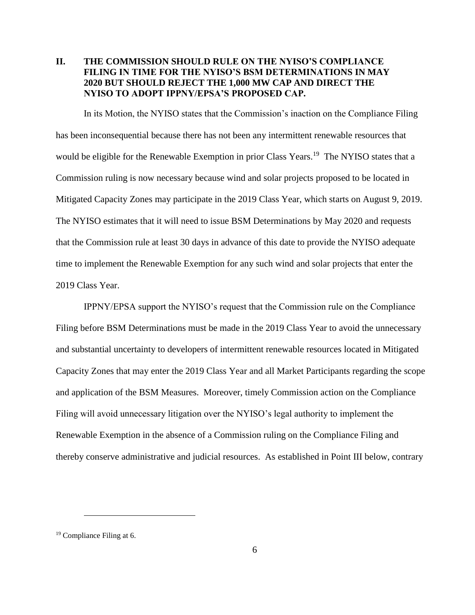## **II. THE COMMISSION SHOULD RULE ON THE NYISO'S COMPLIANCE FILING IN TIME FOR THE NYISO'S BSM DETERMINATIONS IN MAY 2020 BUT SHOULD REJECT THE 1,000 MW CAP AND DIRECT THE NYISO TO ADOPT IPPNY/EPSA'S PROPOSED CAP.**

In its Motion, the NYISO states that the Commission's inaction on the Compliance Filing has been inconsequential because there has not been any intermittent renewable resources that would be eligible for the Renewable Exemption in prior Class Years.<sup>19</sup> The NYISO states that a Commission ruling is now necessary because wind and solar projects proposed to be located in Mitigated Capacity Zones may participate in the 2019 Class Year, which starts on August 9, 2019. The NYISO estimates that it will need to issue BSM Determinations by May 2020 and requests that the Commission rule at least 30 days in advance of this date to provide the NYISO adequate time to implement the Renewable Exemption for any such wind and solar projects that enter the 2019 Class Year.

IPPNY/EPSA support the NYISO's request that the Commission rule on the Compliance Filing before BSM Determinations must be made in the 2019 Class Year to avoid the unnecessary and substantial uncertainty to developers of intermittent renewable resources located in Mitigated Capacity Zones that may enter the 2019 Class Year and all Market Participants regarding the scope and application of the BSM Measures. Moreover, timely Commission action on the Compliance Filing will avoid unnecessary litigation over the NYISO's legal authority to implement the Renewable Exemption in the absence of a Commission ruling on the Compliance Filing and thereby conserve administrative and judicial resources. As established in Point III below, contrary

<sup>19</sup> Compliance Filing at 6.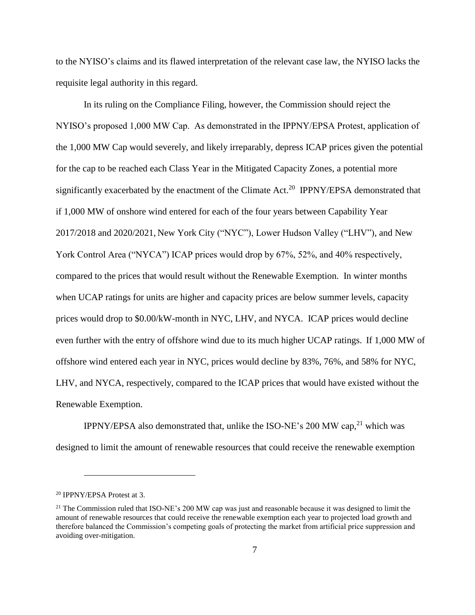to the NYISO's claims and its flawed interpretation of the relevant case law, the NYISO lacks the requisite legal authority in this regard.

In its ruling on the Compliance Filing, however, the Commission should reject the NYISO's proposed 1,000 MW Cap. As demonstrated in the IPPNY/EPSA Protest, application of the 1,000 MW Cap would severely, and likely irreparably, depress ICAP prices given the potential for the cap to be reached each Class Year in the Mitigated Capacity Zones, a potential more significantly exacerbated by the enactment of the Climate Act.<sup>20</sup> IPPNY/EPSA demonstrated that if 1,000 MW of onshore wind entered for each of the four years between Capability Year 2017/2018 and 2020/2021, New York City ("NYC"), Lower Hudson Valley ("LHV"), and New York Control Area ("NYCA") ICAP prices would drop by 67%, 52%, and 40% respectively, compared to the prices that would result without the Renewable Exemption. In winter months when UCAP ratings for units are higher and capacity prices are below summer levels, capacity prices would drop to \$0.00/kW-month in NYC, LHV, and NYCA. ICAP prices would decline even further with the entry of offshore wind due to its much higher UCAP ratings. If 1,000 MW of offshore wind entered each year in NYC, prices would decline by 83%, 76%, and 58% for NYC, LHV, and NYCA, respectively, compared to the ICAP prices that would have existed without the Renewable Exemption.

IPPNY/EPSA also demonstrated that, unlike the ISO-NE's 200 MW cap, $^{21}$  which was designed to limit the amount of renewable resources that could receive the renewable exemption

<sup>20</sup> IPPNY/EPSA Protest at 3.

<sup>&</sup>lt;sup>21</sup> The Commission ruled that ISO-NE's 200 MW cap was just and reasonable because it was designed to limit the amount of renewable resources that could receive the renewable exemption each year to projected load growth and therefore balanced the Commission's competing goals of protecting the market from artificial price suppression and avoiding over-mitigation.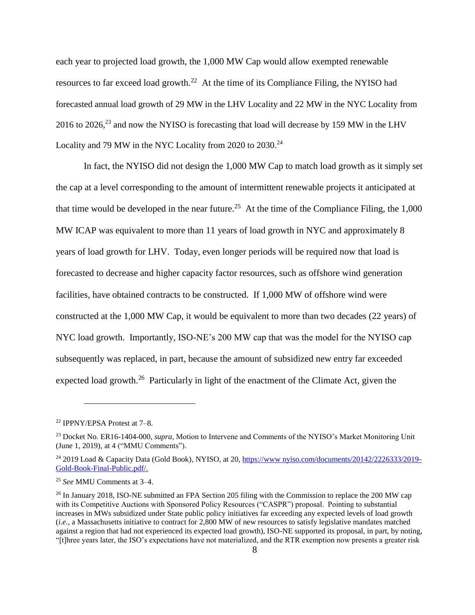each year to projected load growth, the 1,000 MW Cap would allow exempted renewable resources to far exceed load growth.<sup>22</sup> At the time of its Compliance Filing, the NYISO had forecasted annual load growth of 29 MW in the LHV Locality and 22 MW in the NYC Locality from 2016 to 2026,<sup>23</sup> and now the NYISO is forecasting that load will decrease by 159 MW in the LHV Locality and 79 MW in the NYC Locality from 2020 to 2030.<sup>24</sup>

In fact, the NYISO did not design the 1,000 MW Cap to match load growth as it simply set the cap at a level corresponding to the amount of intermittent renewable projects it anticipated at that time would be developed in the near future.<sup>25</sup> At the time of the Compliance Filing, the  $1,000$ MW ICAP was equivalent to more than 11 years of load growth in NYC and approximately 8 years of load growth for LHV. Today, even longer periods will be required now that load is forecasted to decrease and higher capacity factor resources, such as offshore wind generation facilities, have obtained contracts to be constructed. If 1,000 MW of offshore wind were constructed at the 1,000 MW Cap, it would be equivalent to more than two decades (22 years) of NYC load growth. Importantly, ISO-NE's 200 MW cap that was the model for the NYISO cap subsequently was replaced, in part, because the amount of subsidized new entry far exceeded expected load growth.<sup>26</sup> Particularly in light of the enactment of the Climate Act, given the

<sup>22</sup> IPPNY/EPSA Protest at 7–8.

<sup>23</sup> Docket No. ER16-1404-000, *supra*, Motion to Intervene and Comments of the NYISO's Market Monitoring Unit (June 1, 2019), at 4 ("MMU Comments").

<sup>24</sup> 2019 Load & Capacity Data (Gold Book), NYISO, at 20, [https://www nyiso.com/documents/20142/2226333/2019-](https://www.nyiso.com/documents/20142/2226333/2019-Gold-Book-Final-Public.pdf/) [Gold-Book-Final-Public.pdf/.](https://www.nyiso.com/documents/20142/2226333/2019-Gold-Book-Final-Public.pdf/)

<sup>25</sup> *See* MMU Comments at 3–4.

<sup>&</sup>lt;sup>26</sup> In January 2018, ISO-NE submitted an FPA Section 205 filing with the Commission to replace the 200 MW cap with its Competitive Auctions with Sponsored Policy Resources ("CASPR") proposal. Pointing to substantial increases in MWs subsidized under State public policy initiatives far exceeding any expected levels of load growth (*i.e.*, a Massachusetts initiative to contract for 2,800 MW of new resources to satisfy legislative mandates matched against a region that had not experienced its expected load growth), ISO-NE supported its proposal, in part, by noting, "[t]hree years later, the ISO's expectations have not materialized, and the RTR exemption now presents a greater risk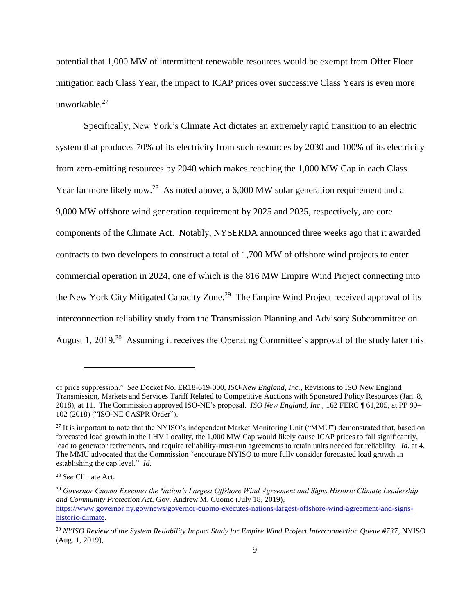potential that 1,000 MW of intermittent renewable resources would be exempt from Offer Floor mitigation each Class Year, the impact to ICAP prices over successive Class Years is even more unworkable.<sup>27</sup>

Specifically, New York's Climate Act dictates an extremely rapid transition to an electric system that produces 70% of its electricity from such resources by 2030 and 100% of its electricity from zero-emitting resources by 2040 which makes reaching the 1,000 MW Cap in each Class Year far more likely now.<sup>28</sup> As noted above, a 6,000 MW solar generation requirement and a 9,000 MW offshore wind generation requirement by 2025 and 2035, respectively, are core components of the Climate Act. Notably, NYSERDA announced three weeks ago that it awarded contracts to two developers to construct a total of 1,700 MW of offshore wind projects to enter commercial operation in 2024, one of which is the 816 MW Empire Wind Project connecting into the New York City Mitigated Capacity Zone.<sup>29</sup> The Empire Wind Project received approval of its interconnection reliability study from the Transmission Planning and Advisory Subcommittee on August 1, 2019.<sup>30</sup> Assuming it receives the Operating Committee's approval of the study later this

of price suppression." *See* Docket No. ER18-619-000, *ISO-New England, Inc.*, Revisions to ISO New England Transmission, Markets and Services Tariff Related to Competitive Auctions with Sponsored Policy Resources (Jan. 8, 2018), at 11. The Commission approved ISO-NE's proposal. *ISO New England, Inc*., 162 FERC ¶ 61,205, at PP 99– 102 (2018) ("ISO-NE CASPR Order").

<sup>&</sup>lt;sup>27</sup> It is important to note that the NYISO's independent Market Monitoring Unit ("MMU") demonstrated that, based on forecasted load growth in the LHV Locality, the 1,000 MW Cap would likely cause ICAP prices to fall significantly, lead to generator retirements, and require reliability-must-run agreements to retain units needed for reliability. *Id.* at 4. The MMU advocated that the Commission "encourage NYISO to more fully consider forecasted load growth in establishing the cap level." *Id.*

<sup>28</sup> *See* Climate Act.

<sup>29</sup> *Governor Cuomo Executes the Nation's Largest Offshore Wind Agreement and Signs Historic Climate Leadership and Community Protection Act*, Gov. Andrew M. Cuomo (July 18, 2019), [https://www.governor ny.gov/news/governor-cuomo-executes-nations-largest-offshore-wind-agreement-and-signs](https://www.governor.ny.gov/news/governor-cuomo-executes-nations-largest-offshore-wind-agreement-and-signs-historic-climate)[historic-climate.](https://www.governor.ny.gov/news/governor-cuomo-executes-nations-largest-offshore-wind-agreement-and-signs-historic-climate)

<sup>30</sup> *NYISO Review of the System Reliability Impact Study for Empire Wind Project Interconnection Queue #737*, NYISO (Aug. 1, 2019),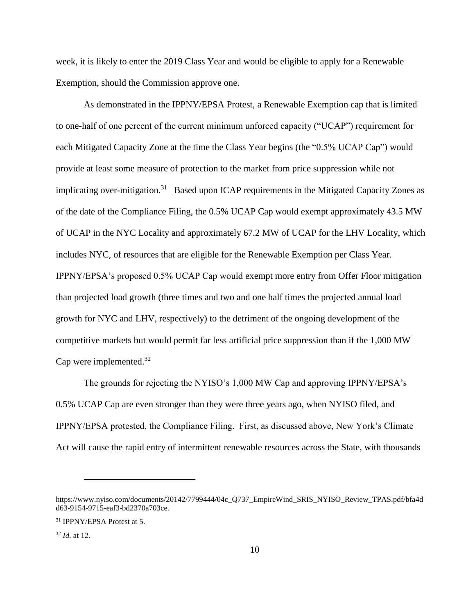week, it is likely to enter the 2019 Class Year and would be eligible to apply for a Renewable Exemption, should the Commission approve one.

As demonstrated in the IPPNY/EPSA Protest, a Renewable Exemption cap that is limited to one-half of one percent of the current minimum unforced capacity ("UCAP") requirement for each Mitigated Capacity Zone at the time the Class Year begins (the "0.5% UCAP Cap") would provide at least some measure of protection to the market from price suppression while not implicating over-mitigation.<sup>31</sup> Based upon ICAP requirements in the Mitigated Capacity Zones as of the date of the Compliance Filing, the 0.5% UCAP Cap would exempt approximately 43.5 MW of UCAP in the NYC Locality and approximately 67.2 MW of UCAP for the LHV Locality, which includes NYC, of resources that are eligible for the Renewable Exemption per Class Year. IPPNY/EPSA's proposed 0.5% UCAP Cap would exempt more entry from Offer Floor mitigation than projected load growth (three times and two and one half times the projected annual load growth for NYC and LHV, respectively) to the detriment of the ongoing development of the competitive markets but would permit far less artificial price suppression than if the 1,000 MW Cap were implemented.<sup>32</sup>

The grounds for rejecting the NYISO's 1,000 MW Cap and approving IPPNY/EPSA's 0.5% UCAP Cap are even stronger than they were three years ago, when NYISO filed, and IPPNY/EPSA protested, the Compliance Filing. First, as discussed above, New York's Climate Act will cause the rapid entry of intermittent renewable resources across the State, with thousands

https://www.nyiso.com/documents/20142/7799444/04c\_Q737\_EmpireWind\_SRIS\_NYISO\_Review\_TPAS.pdf/bfa4d d63-9154-9715-eaf3-bd2370a703ce.

<sup>31</sup> IPPNY/EPSA Protest at 5.

<sup>32</sup> *Id.* at 12.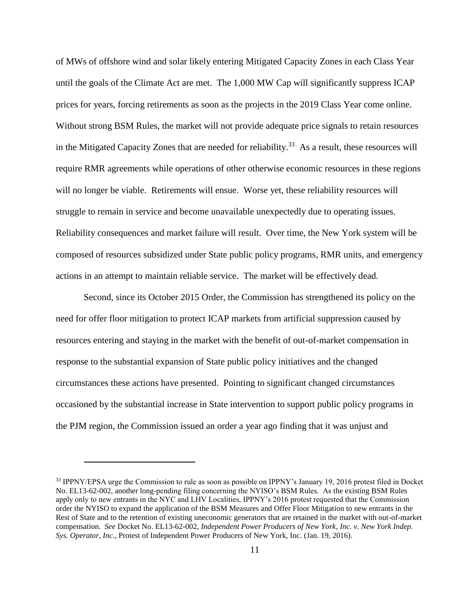of MWs of offshore wind and solar likely entering Mitigated Capacity Zones in each Class Year until the goals of the Climate Act are met. The 1,000 MW Cap will significantly suppress ICAP prices for years, forcing retirements as soon as the projects in the 2019 Class Year come online. Without strong BSM Rules, the market will not provide adequate price signals to retain resources in the Mitigated Capacity Zones that are needed for reliability.<sup>33</sup> As a result, these resources will require RMR agreements while operations of other otherwise economic resources in these regions will no longer be viable. Retirements will ensue. Worse yet, these reliability resources will struggle to remain in service and become unavailable unexpectedly due to operating issues. Reliability consequences and market failure will result. Over time, the New York system will be composed of resources subsidized under State public policy programs, RMR units, and emergency actions in an attempt to maintain reliable service. The market will be effectively dead.

Second, since its October 2015 Order, the Commission has strengthened its policy on the need for offer floor mitigation to protect ICAP markets from artificial suppression caused by resources entering and staying in the market with the benefit of out-of-market compensation in response to the substantial expansion of State public policy initiatives and the changed circumstances these actions have presented. Pointing to significant changed circumstances occasioned by the substantial increase in State intervention to support public policy programs in the PJM region, the Commission issued an order a year ago finding that it was unjust and

<sup>&</sup>lt;sup>33</sup> IPPNY/EPSA urge the Commission to rule as soon as possible on IPPNY's January 19, 2016 protest filed in Docket No. EL13-62-002, another long-pending filing concerning the NYISO's BSM Rules. As the existing BSM Rules apply only to new entrants in the NYC and LHV Localities, IPPNY's 2016 protest requested that the Commission order the NYISO to expand the application of the BSM Measures and Offer Floor Mitigation to new entrants in the Rest of State and to the retention of existing uneconomic generators that are retained in the market with out-of-market compensation. *See* Docket No. EL13-62-002, *Independent Power Producers of New York*, *Inc. v. New York Indep. Sys. Operator, Inc*., Protest of Independent Power Producers of New York, Inc. (Jan. 19, 2016).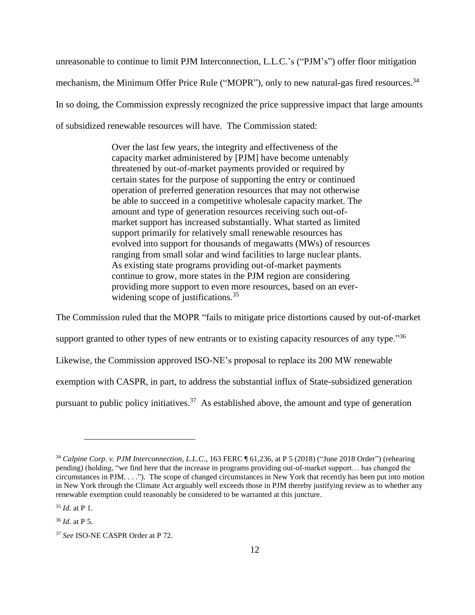unreasonable to continue to limit PJM Interconnection, L.L.C.'s ("PJM's") offer floor mitigation mechanism, the Minimum Offer Price Rule ("MOPR"), only to new natural-gas fired resources.<sup>34</sup> In so doing, the Commission expressly recognized the price suppressive impact that large amounts of subsidized renewable resources will have. The Commission stated:

> Over the last few years, the integrity and effectiveness of the capacity market administered by [PJM] have become untenably threatened by out-of-market payments provided or required by certain states for the purpose of supporting the entry or continued operation of preferred generation resources that may not otherwise be able to succeed in a competitive wholesale capacity market. The amount and type of generation resources receiving such out-ofmarket support has increased substantially. What started as limited support primarily for relatively small renewable resources has evolved into support for thousands of megawatts (MWs) of resources ranging from small solar and wind facilities to large nuclear plants. As existing state programs providing out-of-market payments continue to grow, more states in the PJM region are considering providing more support to even more resources, based on an everwidening scope of justifications.<sup>35</sup>

The Commission ruled that the MOPR "fails to mitigate price distortions caused by out-of-market support granted to other types of new entrants or to existing capacity resources of any type.<sup> $36$ </sup> Likewise, the Commission approved ISO-NE's proposal to replace its 200 MW renewable exemption with CASPR, in part, to address the substantial influx of State-subsidized generation pursuant to public policy initiatives.<sup>37</sup> As established above, the amount and type of generation

<sup>34</sup> *Calpine Corp. v. PJM Interconnection, L.L.C*., 163 FERC ¶ 61,236, at P 5 (2018) ("June 2018 Order") (rehearing pending) (holding, "we find here that the increase in programs providing out-of-market support… has changed the circumstances in PJM. . . ."). The scope of changed circumstances in New York that recently has been put into motion in New York through the Climate Act arguably well exceeds those in PJM thereby justifying review as to whether any renewable exemption could reasonably be considered to be warranted at this juncture.

<sup>35</sup> *Id.* at P 1.

<sup>36</sup> *Id.* at P 5.

<sup>37</sup> *See* ISO-NE CASPR Order at P 72.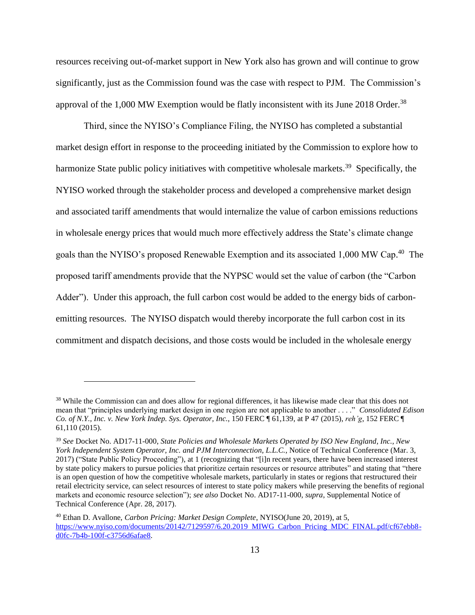resources receiving out-of-market support in New York also has grown and will continue to grow significantly, just as the Commission found was the case with respect to PJM. The Commission's approval of the 1,000 MW Exemption would be flatly inconsistent with its June 2018 Order.<sup>38</sup>

Third, since the NYISO's Compliance Filing, the NYISO has completed a substantial market design effort in response to the proceeding initiated by the Commission to explore how to harmonize State public policy initiatives with competitive wholesale markets.<sup>39</sup> Specifically, the NYISO worked through the stakeholder process and developed a comprehensive market design and associated tariff amendments that would internalize the value of carbon emissions reductions in wholesale energy prices that would much more effectively address the State's climate change goals than the NYISO's proposed Renewable Exemption and its associated 1,000 MW Cap.<sup>40</sup> The proposed tariff amendments provide that the NYPSC would set the value of carbon (the "Carbon Adder"). Under this approach, the full carbon cost would be added to the energy bids of carbonemitting resources. The NYISO dispatch would thereby incorporate the full carbon cost in its commitment and dispatch decisions, and those costs would be included in the wholesale energy

<sup>&</sup>lt;sup>38</sup> While the Commission can and does allow for regional differences, it has likewise made clear that this does not mean that "principles underlying market design in one region are not applicable to another . . . ." *Consolidated Edison Co. of N.Y., Inc. v. New York Indep. Sys. Operator, Inc.*, 150 FERC ¶ 61,139, at P 47 (2015), *reh'g*, 152 FERC ¶ 61,110 (2015).

<sup>39</sup> *See* Docket No. AD17-11-000, *State Policies and Wholesale Markets Operated by ISO New England, Inc., New York Independent System Operator, Inc. and PJM Interconnection, L.L.C.*, Notice of Technical Conference (Mar. 3, 2017) ("State Public Policy Proceeding"), at 1 (recognizing that "[i]n recent years, there have been increased interest by state policy makers to pursue policies that prioritize certain resources or resource attributes" and stating that "there is an open question of how the competitive wholesale markets, particularly in states or regions that restructured their retail electricity service, can select resources of interest to state policy makers while preserving the benefits of regional markets and economic resource selection"); *see also* Docket No. AD17-11-000, *supra*, Supplemental Notice of Technical Conference (Apr. 28, 2017).

<sup>40</sup> Ethan D. Avallone, *Carbon Pricing: Market Design Complete*, NYISO(June 20, 2019), at 5, [https://www.nyiso.com/documents/20142/7129597/6.20.2019 MIWG Carbon Pricing MDC FINAL.pdf/cf67ebb8](https://www.nyiso.com/documents/20142/7129597/6.20.2019_MIWG_Carbon_Pricing_MDC_FINAL.pdf/cf67ebb8-d0fc-7b4b-100f-c3756d6afae8) [d0fc-7b4b-100f-c3756d6afae8.](https://www.nyiso.com/documents/20142/7129597/6.20.2019_MIWG_Carbon_Pricing_MDC_FINAL.pdf/cf67ebb8-d0fc-7b4b-100f-c3756d6afae8)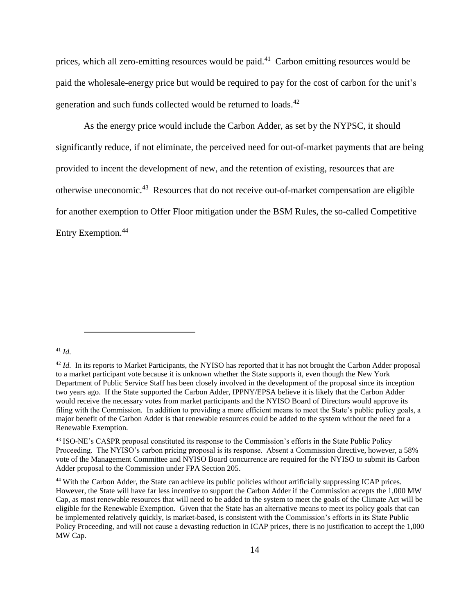prices, which all zero-emitting resources would be paid.<sup>41</sup> Carbon emitting resources would be paid the wholesale-energy price but would be required to pay for the cost of carbon for the unit's generation and such funds collected would be returned to loads.<sup>42</sup>

As the energy price would include the Carbon Adder, as set by the NYPSC, it should significantly reduce, if not eliminate, the perceived need for out-of-market payments that are being provided to incent the development of new, and the retention of existing, resources that are otherwise uneconomic.<sup>43</sup> Resources that do not receive out-of-market compensation are eligible for another exemption to Offer Floor mitigation under the BSM Rules, the so-called Competitive Entry Exemption.<sup>44</sup>

#### <sup>41</sup> *Id.*

<sup>&</sup>lt;sup>42</sup> *Id.* In its reports to Market Participants, the NYISO has reported that it has not brought the Carbon Adder proposal to a market participant vote because it is unknown whether the State supports it, even though the New York Department of Public Service Staff has been closely involved in the development of the proposal since its inception two years ago. If the State supported the Carbon Adder, IPPNY/EPSA believe it is likely that the Carbon Adder would receive the necessary votes from market participants and the NYISO Board of Directors would approve its filing with the Commission. In addition to providing a more efficient means to meet the State's public policy goals, a major benefit of the Carbon Adder is that renewable resources could be added to the system without the need for a Renewable Exemption.

<sup>43</sup> ISO-NE's CASPR proposal constituted its response to the Commission's efforts in the State Public Policy Proceeding. The NYISO's carbon pricing proposal is its response. Absent a Commission directive, however, a 58% vote of the Management Committee and NYISO Board concurrence are required for the NYISO to submit its Carbon Adder proposal to the Commission under FPA Section 205.

<sup>44</sup> With the Carbon Adder, the State can achieve its public policies without artificially suppressing ICAP prices. However, the State will have far less incentive to support the Carbon Adder if the Commission accepts the 1,000 MW Cap, as most renewable resources that will need to be added to the system to meet the goals of the Climate Act will be eligible for the Renewable Exemption. Given that the State has an alternative means to meet its policy goals that can be implemented relatively quickly, is market-based, is consistent with the Commission's efforts in its State Public Policy Proceeding, and will not cause a devasting reduction in ICAP prices, there is no justification to accept the 1,000 MW Cap.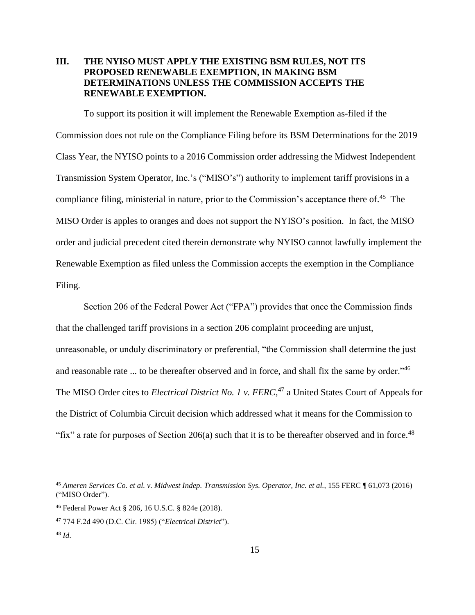### **III. THE NYISO MUST APPLY THE EXISTING BSM RULES, NOT ITS PROPOSED RENEWABLE EXEMPTION, IN MAKING BSM DETERMINATIONS UNLESS THE COMMISSION ACCEPTS THE RENEWABLE EXEMPTION.**

To support its position it will implement the Renewable Exemption as-filed if the Commission does not rule on the Compliance Filing before its BSM Determinations for the 2019 Class Year, the NYISO points to a 2016 Commission order addressing the Midwest Independent Transmission System Operator, Inc.'s ("MISO's") authority to implement tariff provisions in a compliance filing, ministerial in nature, prior to the Commission's acceptance there of.<sup>45</sup> The MISO Order is apples to oranges and does not support the NYISO's position. In fact, the MISO order and judicial precedent cited therein demonstrate why NYISO cannot lawfully implement the Renewable Exemption as filed unless the Commission accepts the exemption in the Compliance Filing.

Section 206 of the Federal Power Act ("FPA") provides that once the Commission finds that the challenged tariff provisions in a section 206 complaint proceeding are unjust, unreasonable, or unduly discriminatory or preferential, "the Commission shall determine the just and reasonable rate ... to be thereafter observed and in force, and shall fix the same by order."<sup>46</sup> The MISO Order cites to *Electrical District No. 1 v. FERC*, <sup>47</sup> a United States Court of Appeals for the District of Columbia Circuit decision which addressed what it means for the Commission to "fix" a rate for purposes of Section  $206(a)$  such that it is to be thereafter observed and in force.<sup>48</sup>

<sup>45</sup> *Ameren Services Co. et al. v. Midwest Indep. Transmission Sys. Operator, Inc. et al.*, 155 FERC ¶ 61,073 (2016) ("MISO Order").

<sup>46</sup> Federal Power Act § 206, 16 U.S.C. § 824e (2018).

<sup>47</sup> 774 F.2d 490 (D.C. Cir. 1985) ("*Electrical District*"). <sup>48</sup> *Id*.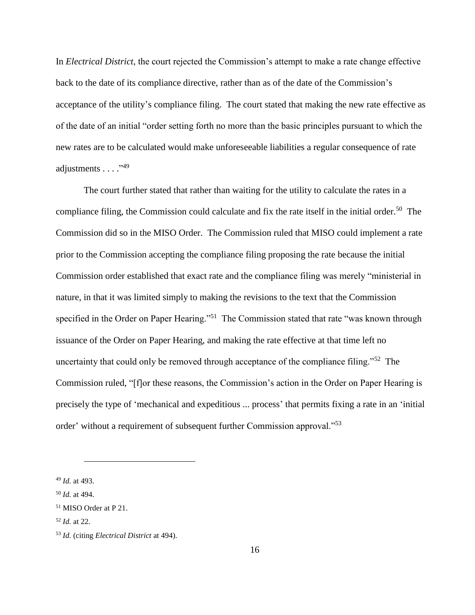In *Electrical District*, the court rejected the Commission's attempt to make a rate change effective back to the date of its compliance directive, rather than as of the date of the Commission's acceptance of the utility's compliance filing. The court stated that making the new rate effective as of the date of an initial "order setting forth no more than the basic principles pursuant to which the new rates are to be calculated would make unforeseeable liabilities a regular consequence of rate adjustments . . . . "49"

The court further stated that rather than waiting for the utility to calculate the rates in a compliance filing, the Commission could calculate and fix the rate itself in the initial order. 50 The Commission did so in the MISO Order. The Commission ruled that MISO could implement a rate prior to the Commission accepting the compliance filing proposing the rate because the initial Commission order established that exact rate and the compliance filing was merely "ministerial in nature, in that it was limited simply to making the revisions to the text that the Commission specified in the Order on Paper Hearing."<sup>51</sup> The Commission stated that rate "was known through issuance of the Order on Paper Hearing, and making the rate effective at that time left no uncertainty that could only be removed through acceptance of the compliance filing."<sup>52</sup> The Commission ruled, "[f]or these reasons, the Commission's action in the Order on Paper Hearing is precisely the type of 'mechanical and expeditious ... process' that permits fixing a rate in an 'initial order' without a requirement of subsequent further Commission approval."<sup>53</sup>

<sup>49</sup> *Id.* at 493.

<sup>50</sup> *Id.* at 494.

<sup>51</sup> MISO Order at P 21.

<sup>52</sup> *Id.* at 22.

<sup>53</sup> *Id.* (citing *Electrical District* at 494).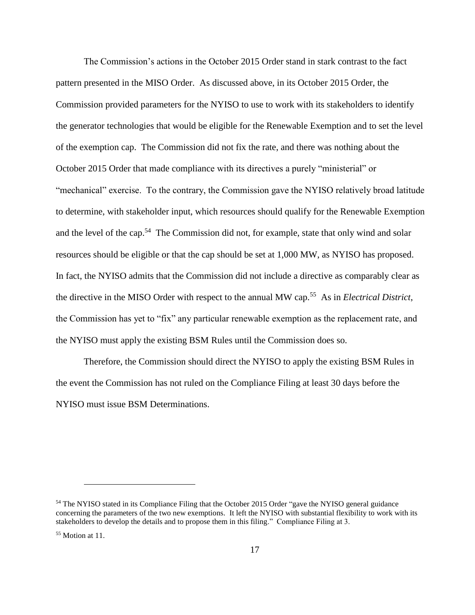The Commission's actions in the October 2015 Order stand in stark contrast to the fact pattern presented in the MISO Order. As discussed above, in its October 2015 Order, the Commission provided parameters for the NYISO to use to work with its stakeholders to identify the generator technologies that would be eligible for the Renewable Exemption and to set the level of the exemption cap. The Commission did not fix the rate, and there was nothing about the October 2015 Order that made compliance with its directives a purely "ministerial" or "mechanical" exercise. To the contrary, the Commission gave the NYISO relatively broad latitude to determine, with stakeholder input, which resources should qualify for the Renewable Exemption and the level of the cap.<sup>54</sup> The Commission did not, for example, state that only wind and solar resources should be eligible or that the cap should be set at 1,000 MW, as NYISO has proposed. In fact, the NYISO admits that the Commission did not include a directive as comparably clear as the directive in the MISO Order with respect to the annual MW cap.<sup>55</sup> As in *Electrical District*, the Commission has yet to "fix" any particular renewable exemption as the replacement rate, and the NYISO must apply the existing BSM Rules until the Commission does so.

Therefore, the Commission should direct the NYISO to apply the existing BSM Rules in the event the Commission has not ruled on the Compliance Filing at least 30 days before the NYISO must issue BSM Determinations.

<sup>54</sup> The NYISO stated in its Compliance Filing that the October 2015 Order "gave the NYISO general guidance concerning the parameters of the two new exemptions. It left the NYISO with substantial flexibility to work with its stakeholders to develop the details and to propose them in this filing." Compliance Filing at 3.

<sup>55</sup> Motion at 11.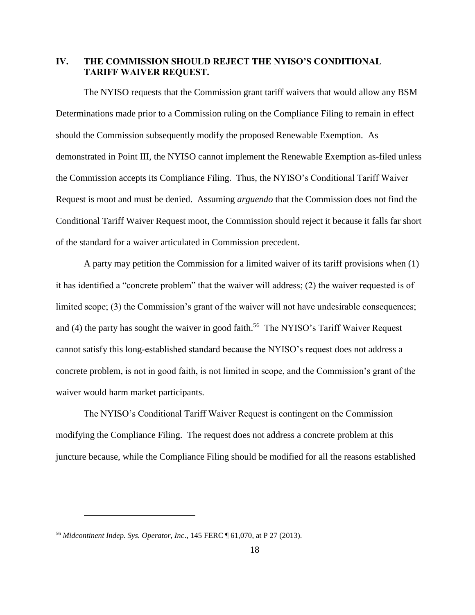### **IV. THE COMMISSION SHOULD REJECT THE NYISO'S CONDITIONAL TARIFF WAIVER REQUEST.**

The NYISO requests that the Commission grant tariff waivers that would allow any BSM Determinations made prior to a Commission ruling on the Compliance Filing to remain in effect should the Commission subsequently modify the proposed Renewable Exemption. As demonstrated in Point III, the NYISO cannot implement the Renewable Exemption as-filed unless the Commission accepts its Compliance Filing. Thus, the NYISO's Conditional Tariff Waiver Request is moot and must be denied. Assuming *arguendo* that the Commission does not find the Conditional Tariff Waiver Request moot, the Commission should reject it because it falls far short of the standard for a waiver articulated in Commission precedent.

A party may petition the Commission for a limited waiver of its tariff provisions when (1) it has identified a "concrete problem" that the waiver will address; (2) the waiver requested is of limited scope; (3) the Commission's grant of the waiver will not have undesirable consequences; and (4) the party has sought the waiver in good faith.<sup>56</sup> The NYISO's Tariff Waiver Request cannot satisfy this long-established standard because the NYISO's request does not address a concrete problem, is not in good faith, is not limited in scope, and the Commission's grant of the waiver would harm market participants.

The NYISO's Conditional Tariff Waiver Request is contingent on the Commission modifying the Compliance Filing. The request does not address a concrete problem at this juncture because, while the Compliance Filing should be modified for all the reasons established

<sup>56</sup> *Midcontinent Indep. Sys. Operator, Inc*., 145 FERC ¶ 61,070, at P 27 (2013).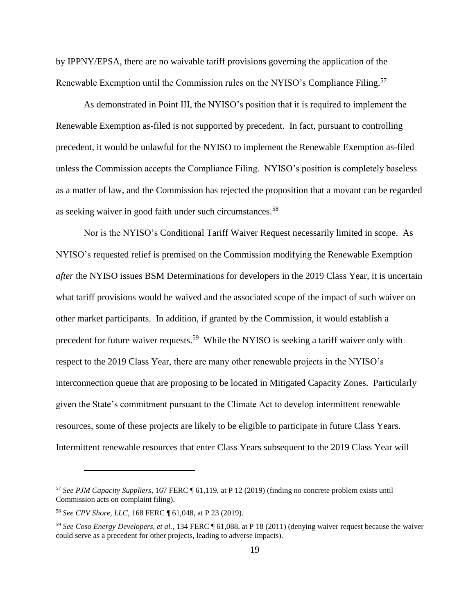by IPPNY/EPSA, there are no waivable tariff provisions governing the application of the Renewable Exemption until the Commission rules on the NYISO's Compliance Filing.<sup>57</sup>

As demonstrated in Point III, the NYISO's position that it is required to implement the Renewable Exemption as-filed is not supported by precedent. In fact, pursuant to controlling precedent, it would be unlawful for the NYISO to implement the Renewable Exemption as-filed unless the Commission accepts the Compliance Filing. NYISO's position is completely baseless as a matter of law, and the Commission has rejected the proposition that a movant can be regarded as seeking waiver in good faith under such circumstances.<sup>58</sup>

Nor is the NYISO's Conditional Tariff Waiver Request necessarily limited in scope. As NYISO's requested relief is premised on the Commission modifying the Renewable Exemption *after* the NYISO issues BSM Determinations for developers in the 2019 Class Year, it is uncertain what tariff provisions would be waived and the associated scope of the impact of such waiver on other market participants. In addition, if granted by the Commission, it would establish a precedent for future waiver requests.<sup>59</sup> While the NYISO is seeking a tariff waiver only with respect to the 2019 Class Year, there are many other renewable projects in the NYISO's interconnection queue that are proposing to be located in Mitigated Capacity Zones. Particularly given the State's commitment pursuant to the Climate Act to develop intermittent renewable resources, some of these projects are likely to be eligible to participate in future Class Years. Intermittent renewable resources that enter Class Years subsequent to the 2019 Class Year will

<sup>57</sup> *See PJM Capacity Suppliers*, 167 FERC ¶ 61,119, at P 12 (2019) (finding no concrete problem exists until Commission acts on complaint filing).

<sup>58</sup> *See CPV Shore, LLC*, 168 FERC ¶ 61,048, at P 23 (2019).

<sup>59</sup> *See Coso Energy Developers, et al.,* 134 FERC ¶ 61,088, at P 18 (2011) (denying waiver request because the waiver could serve as a precedent for other projects, leading to adverse impacts).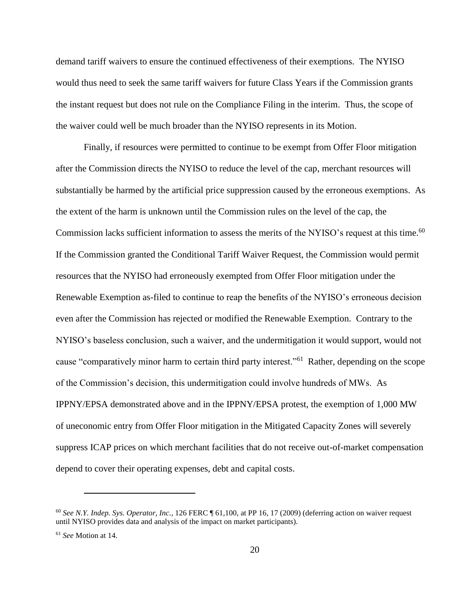demand tariff waivers to ensure the continued effectiveness of their exemptions. The NYISO would thus need to seek the same tariff waivers for future Class Years if the Commission grants the instant request but does not rule on the Compliance Filing in the interim. Thus, the scope of the waiver could well be much broader than the NYISO represents in its Motion.

Finally, if resources were permitted to continue to be exempt from Offer Floor mitigation after the Commission directs the NYISO to reduce the level of the cap, merchant resources will substantially be harmed by the artificial price suppression caused by the erroneous exemptions. As the extent of the harm is unknown until the Commission rules on the level of the cap, the Commission lacks sufficient information to assess the merits of the NYISO's request at this time.<sup>60</sup> If the Commission granted the Conditional Tariff Waiver Request, the Commission would permit resources that the NYISO had erroneously exempted from Offer Floor mitigation under the Renewable Exemption as-filed to continue to reap the benefits of the NYISO's erroneous decision even after the Commission has rejected or modified the Renewable Exemption. Contrary to the NYISO's baseless conclusion, such a waiver, and the undermitigation it would support, would not cause "comparatively minor harm to certain third party interest."<sup>61</sup> Rather, depending on the scope of the Commission's decision, this undermitigation could involve hundreds of MWs. As IPPNY/EPSA demonstrated above and in the IPPNY/EPSA protest, the exemption of 1,000 MW of uneconomic entry from Offer Floor mitigation in the Mitigated Capacity Zones will severely suppress ICAP prices on which merchant facilities that do not receive out-of-market compensation depend to cover their operating expenses, debt and capital costs.

<sup>60</sup> *See N.Y. Indep. Sys. Operator, Inc.,* 126 FERC ¶ 61,100, at PP 16, 17 (2009) (deferring action on waiver request until NYISO provides data and analysis of the impact on market participants).

<sup>61</sup> *See* Motion at 14.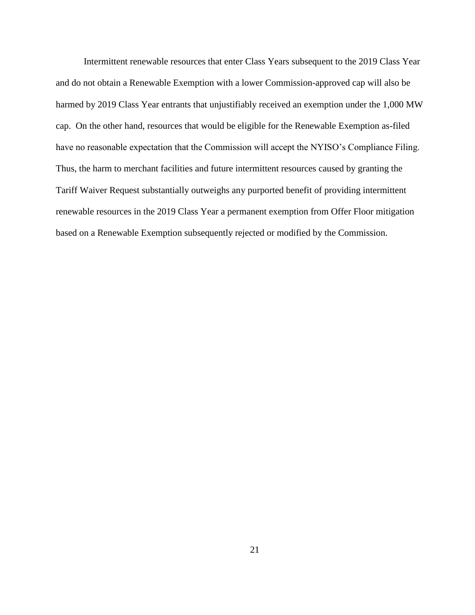Intermittent renewable resources that enter Class Years subsequent to the 2019 Class Year and do not obtain a Renewable Exemption with a lower Commission-approved cap will also be harmed by 2019 Class Year entrants that unjustifiably received an exemption under the 1,000 MW cap. On the other hand, resources that would be eligible for the Renewable Exemption as-filed have no reasonable expectation that the Commission will accept the NYISO's Compliance Filing. Thus, the harm to merchant facilities and future intermittent resources caused by granting the Tariff Waiver Request substantially outweighs any purported benefit of providing intermittent renewable resources in the 2019 Class Year a permanent exemption from Offer Floor mitigation based on a Renewable Exemption subsequently rejected or modified by the Commission.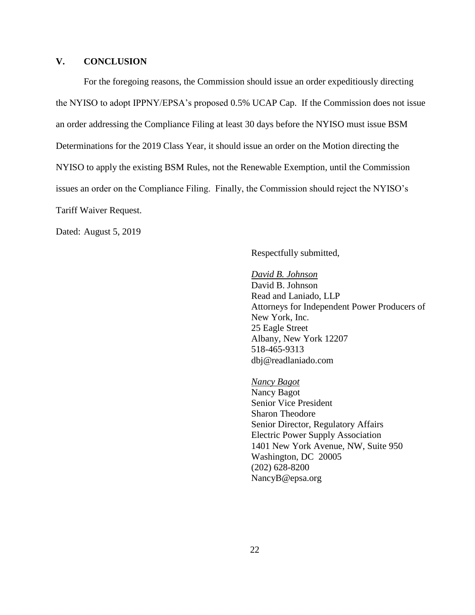### **V. CONCLUSION**

For the foregoing reasons, the Commission should issue an order expeditiously directing the NYISO to adopt IPPNY/EPSA's proposed 0.5% UCAP Cap. If the Commission does not issue an order addressing the Compliance Filing at least 30 days before the NYISO must issue BSM Determinations for the 2019 Class Year, it should issue an order on the Motion directing the NYISO to apply the existing BSM Rules, not the Renewable Exemption, until the Commission issues an order on the Compliance Filing. Finally, the Commission should reject the NYISO's Tariff Waiver Request.

Dated: August 5, 2019

Respectfully submitted,

*David B. Johnson* David B. Johnson Read and Laniado, LLP Attorneys for Independent Power Producers of New York, Inc. 25 Eagle Street Albany, New York 12207 518-465-9313 dbj@readlaniado.com

*Nancy Bagot* Nancy Bagot Senior Vice President Sharon Theodore Senior Director, Regulatory Affairs Electric Power Supply Association 1401 New York Avenue, NW, Suite 950 Washington, DC 20005 (202) 628-8200 NancyB@epsa.org